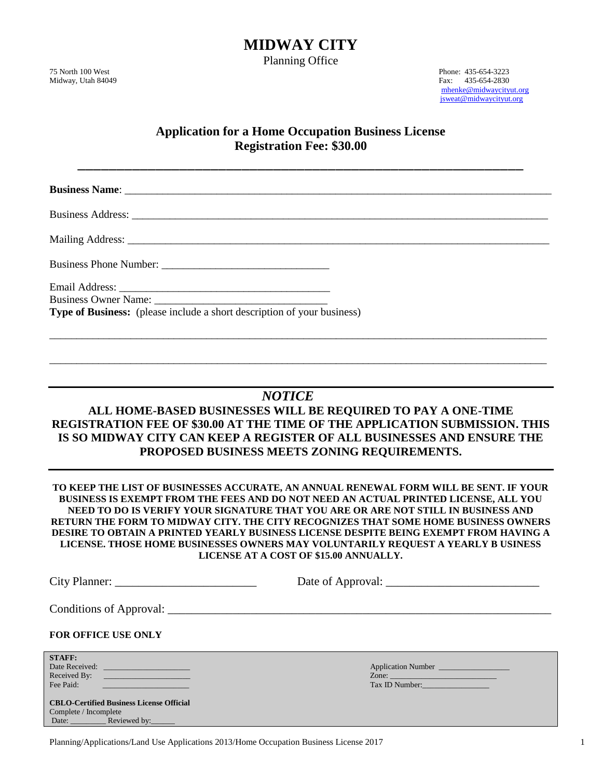**MIDWAY CITY**

Planning Office

75 North 100 West Phone: 435-654-3223<br>Midway, Utah 84049 Fax: 435-654-2233 Fax: 435-654-2830 [mhenke@midwaycityut.org](mailto:mhenke@midwaycityut.org) [jsweat@midwaycityut.org](mailto:jsweat@midwaycityut.org)

## **Application for a Home Occupation Business License Registration Fee: \$30.00**

| Type of Business: (please include a short description of your business)                                                                                                                                                                                                                                                                                                                                                                                                                                                                                                       |
|-------------------------------------------------------------------------------------------------------------------------------------------------------------------------------------------------------------------------------------------------------------------------------------------------------------------------------------------------------------------------------------------------------------------------------------------------------------------------------------------------------------------------------------------------------------------------------|
|                                                                                                                                                                                                                                                                                                                                                                                                                                                                                                                                                                               |
| <b>NOTICE</b>                                                                                                                                                                                                                                                                                                                                                                                                                                                                                                                                                                 |
| ALL HOME-BASED BUSINESSES WILL BE REQUIRED TO PAY A ONE-TIME<br><b>REGISTRATION FEE OF \$30.00 AT THE TIME OF THE APPLICATION SUBMISSION. THIS</b><br>IS SO MIDWAY CITY CAN KEEP A REGISTER OF ALL BUSINESSES AND ENSURE THE<br>PROPOSED BUSINESS MEETS ZONING REQUIREMENTS.                                                                                                                                                                                                                                                                                                  |
| TO KEEP THE LIST OF BUSINESSES ACCURATE, AN ANNUAL RENEWAL FORM WILL BE SENT. IF YOUR<br>BUSINESS IS EXEMPT FROM THE FEES AND DO NOT NEED AN ACTUAL PRINTED LICENSE, ALL YOU<br>NEED TO DO IS VERIFY YOUR SIGNATURE THAT YOU ARE OR ARE NOT STILL IN BUSINESS AND<br>RETURN THE FORM TO MIDWAY CITY. THE CITY RECOGNIZES THAT SOME HOME BUSINESS OWNERS<br>DESIRE TO OBTAIN A PRINTED YEARLY BUSINESS LICENSE DESPITE BEING EXEMPT FROM HAVING A<br>LICENSE. THOSE HOME BUSINESSES OWNERS MAY VOLUNTARILY REQUEST A YEARLY BUSINESS<br>LICENSE AT A COST OF \$15.00 ANNUALLY. |

| <b>FOR OFFICE USE ONLY</b>                                                                                              |                                      |
|-------------------------------------------------------------------------------------------------------------------------|--------------------------------------|
| <b>STAFF:</b><br>Date Received:<br>Fee Paid:                                                                            | Application Number<br>Tax ID Number: |
| <b>CBLO-Certified Business License Official</b><br>Complete / Incomplete<br>Date: <u>__________</u> Reviewed by: ______ |                                      |

Planning/Applications/Land Use Applications 2013/Home Occupation Business License 2017 1